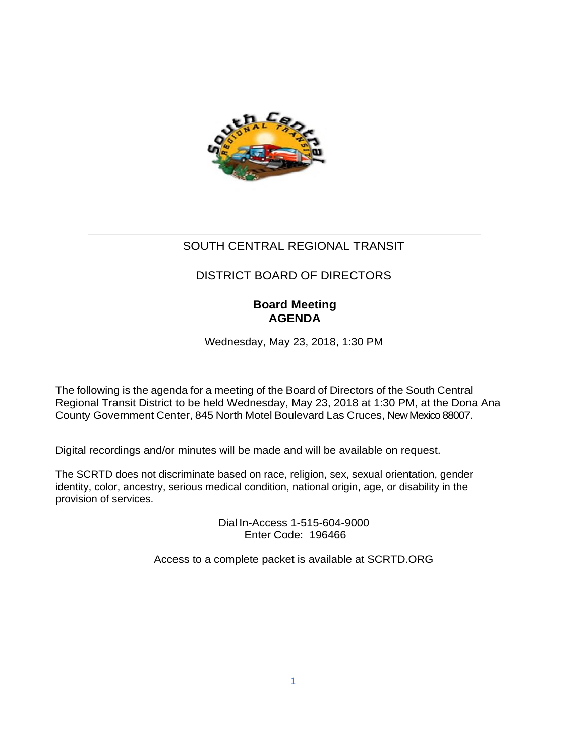

# SOUTH CENTRAL REGIONAL TRANSIT

# DISTRICT BOARD OF DIRECTORS

# **Board Meeting AGENDA**

Wednesday, May 23, 2018, 1:30 PM

The following is the agenda for a meeting of the Board of Directors of the South Central Regional Transit District to be held Wednesday, May 23, 2018 at 1:30 PM, at the Dona Ana County Government Center, 845 North Motel Boulevard Las Cruces, New Mexico 88007.

Digital recordings and/or minutes will be made and will be available on request.

The SCRTD does not discriminate based on race, religion, sex, sexual orientation, gender identity, color, ancestry, serious medical condition, national origin, age, or disability in the provision of services.

> Dial In-Access 1-515-604-9000 Enter Code: 196466

Access to a complete packet is available at SCRTD.ORG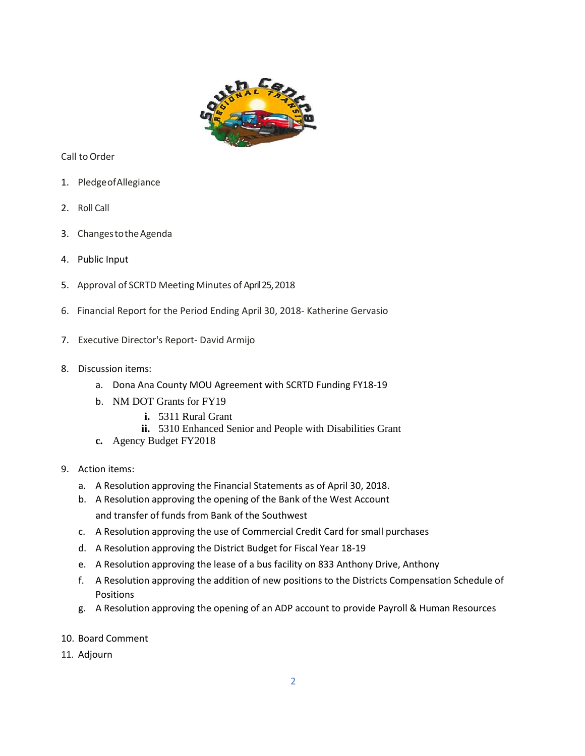

Call toOrder

- 1. PledgeofAllegiance
- 2. Roll Call
- 3. ChangestotheAgenda
- 4. Public Input
- 5. Approval of SCRTD Meeting Minutes of April 25,2018
- 6. Financial Report for the Period Ending April 30, 2018- Katherine Gervasio
- 7. Executive Director's Report- David Armijo
- 8. Discussion items:
	- a. Dona Ana County MOU Agreement with SCRTD Funding FY18-19
	- b. NM DOT Grants for FY19
		- **i.** 5311 Rural Grant
		- **ii.** 5310 Enhanced Senior and People with Disabilities Grant
	- **c.** Agency Budget FY2018
- 9. Action items:
	- a. A Resolution approving the Financial Statements as of April 30, 2018.
	- b. A Resolution approving the opening of the Bank of the West Account and transfer of funds from Bank of the Southwest
	- c. A Resolution approving the use of Commercial Credit Card for small purchases
	- d. A Resolution approving the District Budget for Fiscal Year 18-19
	- e. A Resolution approving the lease of a bus facility on 833 Anthony Drive, Anthony
	- f. A Resolution approving the addition of new positions to the Districts Compensation Schedule of Positions
	- g. A Resolution approving the opening of an ADP account to provide Payroll & Human Resources
- 10. Board Comment
- 11. Adjourn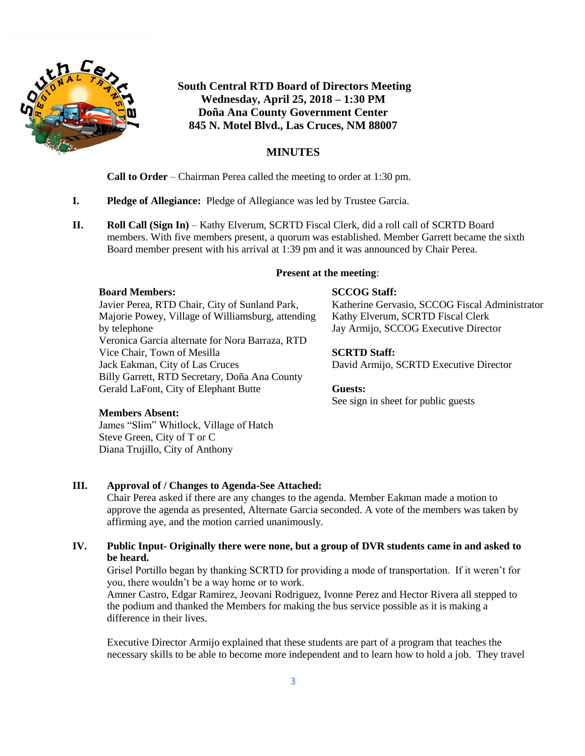

# **South Central RTD Board of Directors Meeting Wednesday, April 25, 2018 – 1:30 PM Doña Ana County Government Center 845 N. Motel Blvd., Las Cruces, NM 88007**

# **MINUTES**

**Call to Order** – Chairman Perea called the meeting to order at 1:30 pm.

- **I. Pledge of Allegiance:** Pledge of Allegiance was led by Trustee Garcia.
- **II. Roll Call (Sign In)** Kathy Elverum, SCRTD Fiscal Clerk, did a roll call of SCRTD Board members. With five members present, a quorum was established. Member Garrett became the sixth Board member present with his arrival at 1:39 pm and it was announced by Chair Perea.

# **Present at the meeting**:

## **Board Members:**

Javier Perea, RTD Chair, City of Sunland Park, Majorie Powey, Village of Williamsburg, attending by telephone Veronica Garcia alternate for Nora Barraza, RTD Vice Chair, Town of Mesilla Jack Eakman, City of Las Cruces Billy Garrett, RTD Secretary, Doña Ana County Gerald LaFont, City of Elephant Butte

# **SCCOG Staff:**

Katherine Gervasio, SCCOG Fiscal Administrator Kathy Elverum, SCRTD Fiscal Clerk Jay Armijo, SCCOG Executive Director

# **SCRTD Staff:**

David Armijo, SCRTD Executive Director

## **Guests:**

See sign in sheet for public guests

# **Members Absent:**

James "Slim" Whitlock, Village of Hatch Steve Green, City of T or C Diana Trujillo, City of Anthony

# **III. Approval of / Changes to Agenda-See Attached:**

Chair Perea asked if there are any changes to the agenda. Member Eakman made a motion to approve the agenda as presented, Alternate Garcia seconded. A vote of the members was taken by affirming aye, and the motion carried unanimously.

# **IV. Public Input- Originally there were none, but a group of DVR students came in and asked to be heard.**

Grisel Portillo began by thanking SCRTD for providing a mode of transportation. If it weren't for you, there wouldn't be a way home or to work.

Amner Castro, Edgar Ramirez, Jeovani Rodriguez, Ivonne Perez and Hector Rivera all stepped to the podium and thanked the Members for making the bus service possible as it is making a difference in their lives.

Executive Director Armijo explained that these students are part of a program that teaches the necessary skills to be able to become more independent and to learn how to hold a job. They travel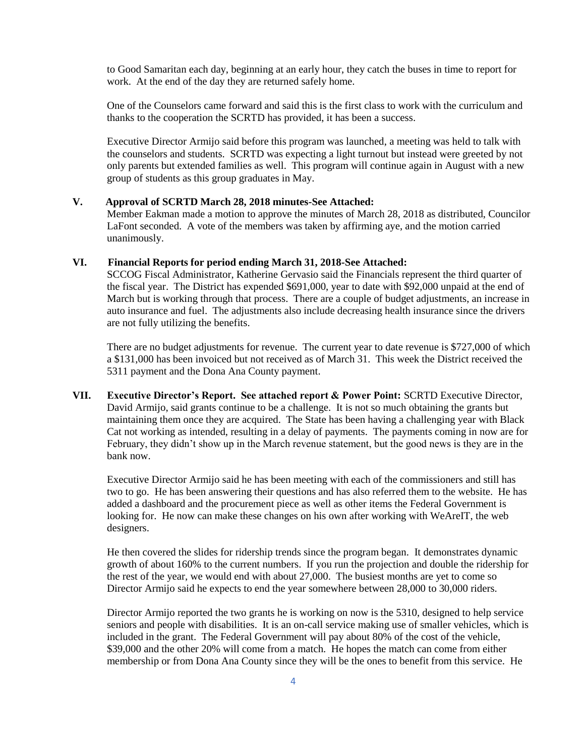to Good Samaritan each day, beginning at an early hour, they catch the buses in time to report for work. At the end of the day they are returned safely home.

One of the Counselors came forward and said this is the first class to work with the curriculum and thanks to the cooperation the SCRTD has provided, it has been a success.

Executive Director Armijo said before this program was launched, a meeting was held to talk with the counselors and students. SCRTD was expecting a light turnout but instead were greeted by not only parents but extended families as well. This program will continue again in August with a new group of students as this group graduates in May.

#### **V. Approval of SCRTD March 28, 2018 minutes-See Attached:**

Member Eakman made a motion to approve the minutes of March 28, 2018 as distributed, Councilor LaFont seconded. A vote of the members was taken by affirming aye, and the motion carried unanimously.

### **VI. Financial Reports for period ending March 31, 2018-See Attached:**

SCCOG Fiscal Administrator, Katherine Gervasio said the Financials represent the third quarter of the fiscal year. The District has expended \$691,000, year to date with \$92,000 unpaid at the end of March but is working through that process. There are a couple of budget adjustments, an increase in auto insurance and fuel. The adjustments also include decreasing health insurance since the drivers are not fully utilizing the benefits.

There are no budget adjustments for revenue. The current year to date revenue is \$727,000 of which a \$131,000 has been invoiced but not received as of March 31. This week the District received the 5311 payment and the Dona Ana County payment.

**VII. Executive Director's Report. See attached report & Power Point:** SCRTD Executive Director, David Armijo, said grants continue to be a challenge. It is not so much obtaining the grants but maintaining them once they are acquired. The State has been having a challenging year with Black Cat not working as intended, resulting in a delay of payments. The payments coming in now are for February, they didn't show up in the March revenue statement, but the good news is they are in the bank now.

Executive Director Armijo said he has been meeting with each of the commissioners and still has two to go. He has been answering their questions and has also referred them to the website. He has added a dashboard and the procurement piece as well as other items the Federal Government is looking for. He now can make these changes on his own after working with WeAreIT, the web designers.

He then covered the slides for ridership trends since the program began. It demonstrates dynamic growth of about 160% to the current numbers. If you run the projection and double the ridership for the rest of the year, we would end with about 27,000. The busiest months are yet to come so Director Armijo said he expects to end the year somewhere between 28,000 to 30,000 riders.

Director Armijo reported the two grants he is working on now is the 5310, designed to help service seniors and people with disabilities. It is an on-call service making use of smaller vehicles, which is included in the grant. The Federal Government will pay about 80% of the cost of the vehicle, \$39,000 and the other 20% will come from a match. He hopes the match can come from either membership or from Dona Ana County since they will be the ones to benefit from this service. He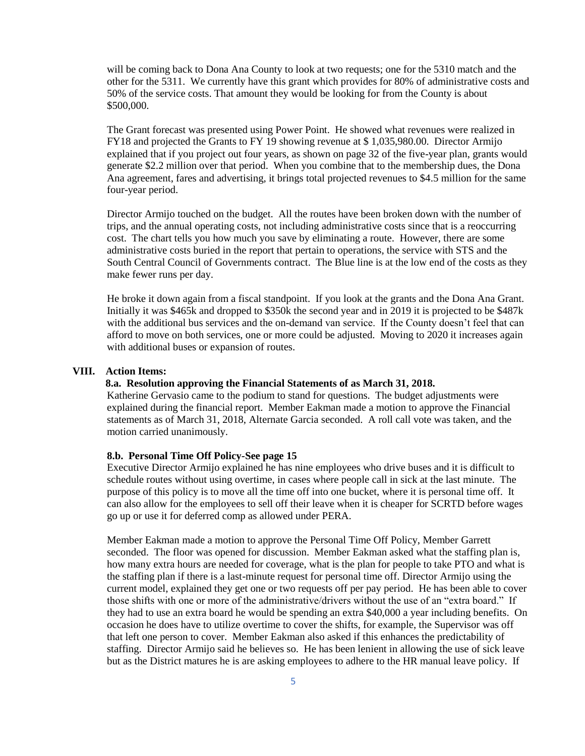will be coming back to Dona Ana County to look at two requests; one for the 5310 match and the other for the 5311. We currently have this grant which provides for 80% of administrative costs and 50% of the service costs. That amount they would be looking for from the County is about \$500,000.

The Grant forecast was presented using Power Point. He showed what revenues were realized in FY18 and projected the Grants to FY 19 showing revenue at \$ 1,035,980.00. Director Armijo explained that if you project out four years, as shown on page 32 of the five-year plan, grants would generate \$2.2 million over that period. When you combine that to the membership dues, the Dona Ana agreement, fares and advertising, it brings total projected revenues to \$4.5 million for the same four-year period.

Director Armijo touched on the budget. All the routes have been broken down with the number of trips, and the annual operating costs, not including administrative costs since that is a reoccurring cost. The chart tells you how much you save by eliminating a route. However, there are some administrative costs buried in the report that pertain to operations, the service with STS and the South Central Council of Governments contract. The Blue line is at the low end of the costs as they make fewer runs per day.

He broke it down again from a fiscal standpoint. If you look at the grants and the Dona Ana Grant. Initially it was \$465k and dropped to \$350k the second year and in 2019 it is projected to be \$487k with the additional bus services and the on-demand van service. If the County doesn't feel that can afford to move on both services, one or more could be adjusted. Moving to 2020 it increases again with additional buses or expansion of routes.

#### **VIII. Action Items:**

#### **8.a. Resolution approving the Financial Statements of as March 31, 2018.**

Katherine Gervasio came to the podium to stand for questions. The budget adjustments were explained during the financial report. Member Eakman made a motion to approve the Financial statements as of March 31, 2018, Alternate Garcia seconded. A roll call vote was taken, and the motion carried unanimously.

#### **8.b. Personal Time Off Policy-See page 15**

Executive Director Armijo explained he has nine employees who drive buses and it is difficult to schedule routes without using overtime, in cases where people call in sick at the last minute. The purpose of this policy is to move all the time off into one bucket, where it is personal time off. It can also allow for the employees to sell off their leave when it is cheaper for SCRTD before wages go up or use it for deferred comp as allowed under PERA.

Member Eakman made a motion to approve the Personal Time Off Policy, Member Garrett seconded. The floor was opened for discussion. Member Eakman asked what the staffing plan is, how many extra hours are needed for coverage, what is the plan for people to take PTO and what is the staffing plan if there is a last-minute request for personal time off. Director Armijo using the current model, explained they get one or two requests off per pay period. He has been able to cover those shifts with one or more of the administrative/drivers without the use of an "extra board." If they had to use an extra board he would be spending an extra \$40,000 a year including benefits. On occasion he does have to utilize overtime to cover the shifts, for example, the Supervisor was off that left one person to cover. Member Eakman also asked if this enhances the predictability of staffing. Director Armijo said he believes so. He has been lenient in allowing the use of sick leave but as the District matures he is are asking employees to adhere to the HR manual leave policy. If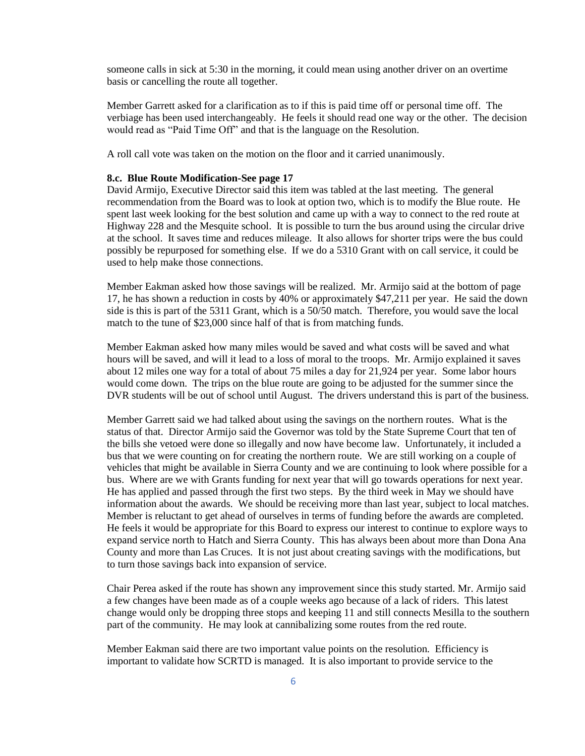someone calls in sick at 5:30 in the morning, it could mean using another driver on an overtime basis or cancelling the route all together.

Member Garrett asked for a clarification as to if this is paid time off or personal time off. The verbiage has been used interchangeably. He feels it should read one way or the other. The decision would read as "Paid Time Off" and that is the language on the Resolution.

A roll call vote was taken on the motion on the floor and it carried unanimously.

#### **8.c. Blue Route Modification-See page 17**

David Armijo, Executive Director said this item was tabled at the last meeting. The general recommendation from the Board was to look at option two, which is to modify the Blue route. He spent last week looking for the best solution and came up with a way to connect to the red route at Highway 228 and the Mesquite school. It is possible to turn the bus around using the circular drive at the school. It saves time and reduces mileage. It also allows for shorter trips were the bus could possibly be repurposed for something else. If we do a 5310 Grant with on call service, it could be used to help make those connections.

Member Eakman asked how those savings will be realized. Mr. Armijo said at the bottom of page 17, he has shown a reduction in costs by 40% or approximately \$47,211 per year. He said the down side is this is part of the 5311 Grant, which is a 50/50 match. Therefore, you would save the local match to the tune of \$23,000 since half of that is from matching funds.

Member Eakman asked how many miles would be saved and what costs will be saved and what hours will be saved, and will it lead to a loss of moral to the troops. Mr. Armijo explained it saves about 12 miles one way for a total of about 75 miles a day for 21,924 per year. Some labor hours would come down. The trips on the blue route are going to be adjusted for the summer since the DVR students will be out of school until August. The drivers understand this is part of the business.

Member Garrett said we had talked about using the savings on the northern routes. What is the status of that. Director Armijo said the Governor was told by the State Supreme Court that ten of the bills she vetoed were done so illegally and now have become law. Unfortunately, it included a bus that we were counting on for creating the northern route. We are still working on a couple of vehicles that might be available in Sierra County and we are continuing to look where possible for a bus. Where are we with Grants funding for next year that will go towards operations for next year. He has applied and passed through the first two steps. By the third week in May we should have information about the awards. We should be receiving more than last year, subject to local matches. Member is reluctant to get ahead of ourselves in terms of funding before the awards are completed. He feels it would be appropriate for this Board to express our interest to continue to explore ways to expand service north to Hatch and Sierra County. This has always been about more than Dona Ana County and more than Las Cruces. It is not just about creating savings with the modifications, but to turn those savings back into expansion of service.

Chair Perea asked if the route has shown any improvement since this study started. Mr. Armijo said a few changes have been made as of a couple weeks ago because of a lack of riders. This latest change would only be dropping three stops and keeping 11 and still connects Mesilla to the southern part of the community. He may look at cannibalizing some routes from the red route.

Member Eakman said there are two important value points on the resolution. Efficiency is important to validate how SCRTD is managed. It is also important to provide service to the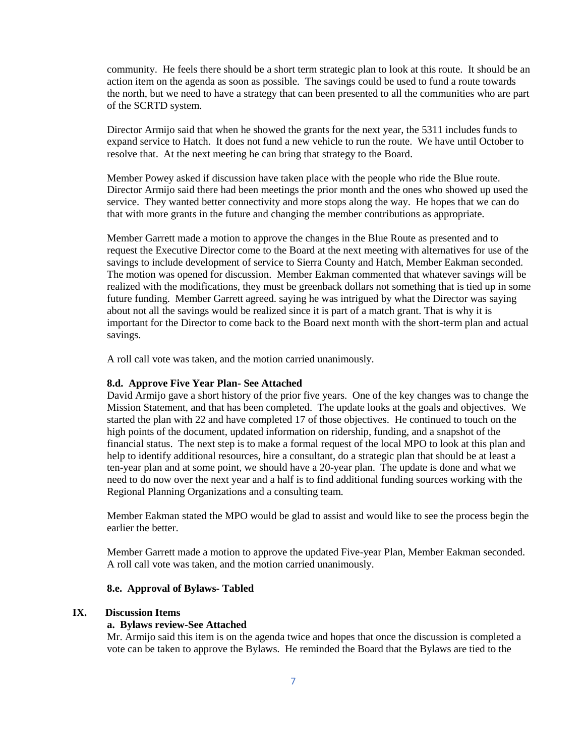community. He feels there should be a short term strategic plan to look at this route. It should be an action item on the agenda as soon as possible. The savings could be used to fund a route towards the north, but we need to have a strategy that can been presented to all the communities who are part of the SCRTD system.

Director Armijo said that when he showed the grants for the next year, the 5311 includes funds to expand service to Hatch. It does not fund a new vehicle to run the route. We have until October to resolve that. At the next meeting he can bring that strategy to the Board.

Member Powey asked if discussion have taken place with the people who ride the Blue route. Director Armijo said there had been meetings the prior month and the ones who showed up used the service. They wanted better connectivity and more stops along the way. He hopes that we can do that with more grants in the future and changing the member contributions as appropriate.

Member Garrett made a motion to approve the changes in the Blue Route as presented and to request the Executive Director come to the Board at the next meeting with alternatives for use of the savings to include development of service to Sierra County and Hatch, Member Eakman seconded. The motion was opened for discussion. Member Eakman commented that whatever savings will be realized with the modifications, they must be greenback dollars not something that is tied up in some future funding. Member Garrett agreed. saying he was intrigued by what the Director was saying about not all the savings would be realized since it is part of a match grant. That is why it is important for the Director to come back to the Board next month with the short-term plan and actual savings.

A roll call vote was taken, and the motion carried unanimously.

#### **8.d. Approve Five Year Plan- See Attached**

David Armijo gave a short history of the prior five years. One of the key changes was to change the Mission Statement, and that has been completed. The update looks at the goals and objectives. We started the plan with 22 and have completed 17 of those objectives. He continued to touch on the high points of the document, updated information on ridership, funding, and a snapshot of the financial status. The next step is to make a formal request of the local MPO to look at this plan and help to identify additional resources, hire a consultant, do a strategic plan that should be at least a ten-year plan and at some point, we should have a 20-year plan. The update is done and what we need to do now over the next year and a half is to find additional funding sources working with the Regional Planning Organizations and a consulting team.

Member Eakman stated the MPO would be glad to assist and would like to see the process begin the earlier the better.

Member Garrett made a motion to approve the updated Five-year Plan, Member Eakman seconded. A roll call vote was taken, and the motion carried unanimously.

#### **8.e. Approval of Bylaws- Tabled**

#### **IX. Discussion Items**

### **a. Bylaws review-See Attached**

Mr. Armijo said this item is on the agenda twice and hopes that once the discussion is completed a vote can be taken to approve the Bylaws. He reminded the Board that the Bylaws are tied to the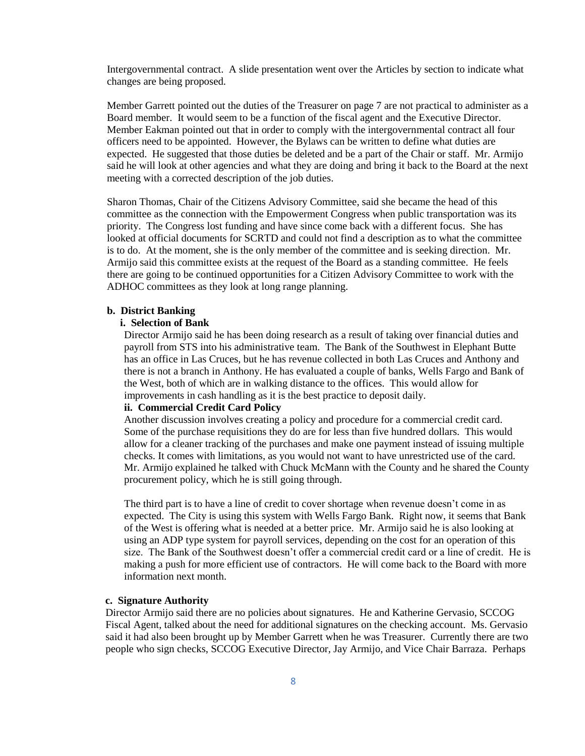Intergovernmental contract. A slide presentation went over the Articles by section to indicate what changes are being proposed.

Member Garrett pointed out the duties of the Treasurer on page 7 are not practical to administer as a Board member. It would seem to be a function of the fiscal agent and the Executive Director. Member Eakman pointed out that in order to comply with the intergovernmental contract all four officers need to be appointed. However, the Bylaws can be written to define what duties are expected. He suggested that those duties be deleted and be a part of the Chair or staff. Mr. Armijo said he will look at other agencies and what they are doing and bring it back to the Board at the next meeting with a corrected description of the job duties.

Sharon Thomas, Chair of the Citizens Advisory Committee, said she became the head of this committee as the connection with the Empowerment Congress when public transportation was its priority. The Congress lost funding and have since come back with a different focus. She has looked at official documents for SCRTD and could not find a description as to what the committee is to do. At the moment, she is the only member of the committee and is seeking direction. Mr. Armijo said this committee exists at the request of the Board as a standing committee. He feels there are going to be continued opportunities for a Citizen Advisory Committee to work with the ADHOC committees as they look at long range planning.

#### **b. District Banking**

#### **i. Selection of Bank**

Director Armijo said he has been doing research as a result of taking over financial duties and payroll from STS into his administrative team. The Bank of the Southwest in Elephant Butte has an office in Las Cruces, but he has revenue collected in both Las Cruces and Anthony and there is not a branch in Anthony. He has evaluated a couple of banks, Wells Fargo and Bank of the West, both of which are in walking distance to the offices. This would allow for improvements in cash handling as it is the best practice to deposit daily.

#### **ii. Commercial Credit Card Policy**

Another discussion involves creating a policy and procedure for a commercial credit card. Some of the purchase requisitions they do are for less than five hundred dollars. This would allow for a cleaner tracking of the purchases and make one payment instead of issuing multiple checks. It comes with limitations, as you would not want to have unrestricted use of the card. Mr. Armijo explained he talked with Chuck McMann with the County and he shared the County procurement policy, which he is still going through.

The third part is to have a line of credit to cover shortage when revenue doesn't come in as expected. The City is using this system with Wells Fargo Bank. Right now, it seems that Bank of the West is offering what is needed at a better price. Mr. Armijo said he is also looking at using an ADP type system for payroll services, depending on the cost for an operation of this size. The Bank of the Southwest doesn't offer a commercial credit card or a line of credit. He is making a push for more efficient use of contractors. He will come back to the Board with more information next month.

#### **c. Signature Authority**

Director Armijo said there are no policies about signatures. He and Katherine Gervasio, SCCOG Fiscal Agent, talked about the need for additional signatures on the checking account. Ms. Gervasio said it had also been brought up by Member Garrett when he was Treasurer. Currently there are two people who sign checks, SCCOG Executive Director, Jay Armijo, and Vice Chair Barraza. Perhaps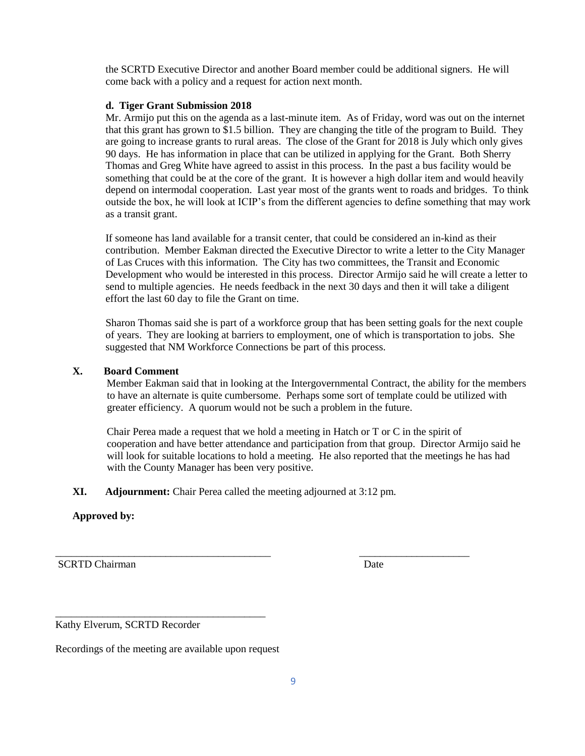the SCRTD Executive Director and another Board member could be additional signers. He will come back with a policy and a request for action next month.

### **d. Tiger Grant Submission 2018**

Mr. Armijo put this on the agenda as a last-minute item. As of Friday, word was out on the internet that this grant has grown to \$1.5 billion. They are changing the title of the program to Build. They are going to increase grants to rural areas. The close of the Grant for 2018 is July which only gives 90 days. He has information in place that can be utilized in applying for the Grant. Both Sherry Thomas and Greg White have agreed to assist in this process. In the past a bus facility would be something that could be at the core of the grant. It is however a high dollar item and would heavily depend on intermodal cooperation. Last year most of the grants went to roads and bridges. To think outside the box, he will look at ICIP's from the different agencies to define something that may work as a transit grant.

If someone has land available for a transit center, that could be considered an in-kind as their contribution. Member Eakman directed the Executive Director to write a letter to the City Manager of Las Cruces with this information. The City has two committees, the Transit and Economic Development who would be interested in this process. Director Armijo said he will create a letter to send to multiple agencies. He needs feedback in the next 30 days and then it will take a diligent effort the last 60 day to file the Grant on time.

Sharon Thomas said she is part of a workforce group that has been setting goals for the next couple of years. They are looking at barriers to employment, one of which is transportation to jobs. She suggested that NM Workforce Connections be part of this process.

### **X. Board Comment**

Member Eakman said that in looking at the Intergovernmental Contract, the ability for the members to have an alternate is quite cumbersome. Perhaps some sort of template could be utilized with greater efficiency. A quorum would not be such a problem in the future.

 Chair Perea made a request that we hold a meeting in Hatch or T or C in the spirit of cooperation and have better attendance and participation from that group. Director Armijo said he will look for suitable locations to hold a meeting. He also reported that the meetings he has had with the County Manager has been very positive.

**XI. Adjournment:** Chair Perea called the meeting adjourned at 3:12 pm*.*

\_\_\_\_\_\_\_\_\_\_\_\_\_\_\_\_\_\_\_\_\_\_\_\_\_\_\_\_\_\_\_\_\_\_\_\_\_\_\_\_\_ \_\_\_\_\_\_\_\_\_\_\_\_\_\_\_\_\_\_\_\_\_

## **Approved by:**

SCRTD Chairman Date **Date** 

Kathy Elverum, SCRTD Recorder

Recordings of the meeting are available upon request

 $\overline{\phantom{a}}$  , and the contract of the contract of the contract of the contract of the contract of the contract of the contract of the contract of the contract of the contract of the contract of the contract of the contrac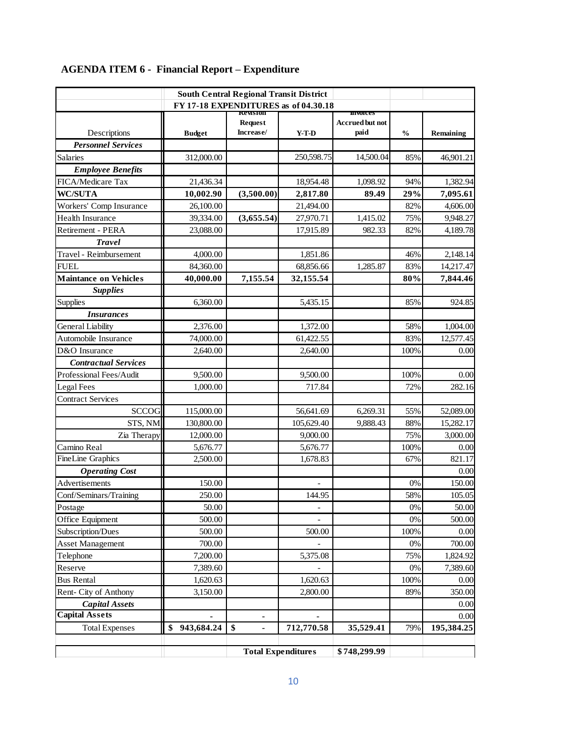| <b>South Central Regional Transit District</b><br>FY 17-18 EXPENDITURES as of 04.30.18 |                  |                                         |                          |                                                    |               |            |  |  |
|----------------------------------------------------------------------------------------|------------------|-----------------------------------------|--------------------------|----------------------------------------------------|---------------|------------|--|--|
| Descriptions                                                                           | <b>Budget</b>    | kevision<br><b>Request</b><br>Increase/ | $Y-T-D$                  | <b>IIIVOICES</b><br><b>Accrued but not</b><br>paid | $\frac{0}{0}$ | Remaining  |  |  |
| <b>Personnel Services</b>                                                              |                  |                                         |                          |                                                    |               |            |  |  |
| Salaries                                                                               | 312,000.00       |                                         | 250,598.75               | 14,500.04                                          | 85%           | 46,901.21  |  |  |
| <b>Employee Benefits</b>                                                               |                  |                                         |                          |                                                    |               |            |  |  |
| FICA/Medicare Tax                                                                      | 21,436.34        |                                         | 18,954.48                | 1,098.92                                           | 94%           | 1,382.94   |  |  |
| <b>WC/SUTA</b>                                                                         | 10,002.90        | (3,500.00)                              | 2,817.80                 | 89.49                                              | 29%           | 7,095.61   |  |  |
| Workers' Comp Insurance                                                                | 26,100.00        |                                         | 21,494.00                |                                                    | 82%           | 4,606.00   |  |  |
| <b>Health Insurance</b>                                                                | 39,334.00        | (3,655.54)                              | 27,970.71                | 1,415.02                                           | 75%           | 9,948.27   |  |  |
| Retirement - PERA                                                                      | 23,088.00        |                                         | 17,915.89                | 982.33                                             | 82%           | 4,189.78   |  |  |
| <b>Travel</b>                                                                          |                  |                                         |                          |                                                    |               |            |  |  |
| Travel - Reimbursement                                                                 | 4,000.00         |                                         | 1,851.86                 |                                                    | 46%           | 2,148.14   |  |  |
| <b>FUEL</b>                                                                            | 84,360.00        |                                         | 68,856.66                | 1,285.87                                           | 83%           | 14,217.47  |  |  |
| <b>Maintance on Vehicles</b>                                                           | 40,000.00        | 7,155.54                                | 32,155.54                |                                                    | 80%           | 7,844.46   |  |  |
| <b>Supplies</b>                                                                        |                  |                                         |                          |                                                    |               |            |  |  |
| <b>Supplies</b>                                                                        | 6,360.00         |                                         | 5,435.15                 |                                                    | 85%           | 924.85     |  |  |
| <i>Insurances</i>                                                                      |                  |                                         |                          |                                                    |               |            |  |  |
| General Liability                                                                      | 2,376.00         |                                         | 1,372.00                 |                                                    | 58%           | 1,004.00   |  |  |
| Automobile Insurance                                                                   | 74,000.00        |                                         | 61,422.55                |                                                    | 83%           | 12,577.45  |  |  |
| D&O Insurance                                                                          | 2,640.00         |                                         | 2,640.00                 |                                                    | 100%          | 0.00       |  |  |
| <b>Contractual Services</b>                                                            |                  |                                         |                          |                                                    |               |            |  |  |
| Professional Fees/Audit                                                                | 9,500.00         |                                         | 9,500.00                 |                                                    | 100%          | 0.00       |  |  |
| Legal Fees                                                                             | 1,000.00         |                                         | 717.84                   |                                                    | 72%           | 282.16     |  |  |
| <b>Contract Services</b>                                                               |                  |                                         |                          |                                                    |               |            |  |  |
| <b>SCCOG</b>                                                                           | 115,000.00       |                                         | 56,641.69                | 6,269.31                                           | 55%           | 52,089.00  |  |  |
| STS, NM                                                                                | 130,800.00       |                                         | 105,629.40               | 9,888.43                                           | 88%           | 15,282.17  |  |  |
| Zia Therapy                                                                            | 12,000.00        |                                         | 9,000.00                 |                                                    | 75%           | 3,000.00   |  |  |
| Camino Real                                                                            | 5,676.77         |                                         | 5,676.77                 |                                                    | 100%          | 0.00       |  |  |
| <b>FineLine Graphics</b>                                                               | 2,500.00         |                                         | 1,678.83                 |                                                    | 67%           | 821.17     |  |  |
| <b>Operating Cost</b>                                                                  |                  |                                         |                          |                                                    |               | 0.00       |  |  |
| Advertisements                                                                         | 150.00           |                                         | $\overline{\phantom{a}}$ |                                                    | 0%            | 150.00     |  |  |
| Conf/Seminars/Training                                                                 | 250.00           |                                         | 144.95                   |                                                    | 58%           | 105.05     |  |  |
| Postage                                                                                | 50.00            |                                         | $\overline{\phantom{m}}$ |                                                    | 0%            | 50.00      |  |  |
| Office Equipment                                                                       | 500.00           |                                         |                          |                                                    | $0\%$         | 500.00     |  |  |
| Subscription/Dues                                                                      | 500.00           |                                         | 500.00                   |                                                    | 100%          | 0.00       |  |  |
| <b>Asset Management</b>                                                                | 700.00           |                                         |                          |                                                    | $0\%$         | 700.00     |  |  |
| Telephone                                                                              | 7,200.00         |                                         | 5,375.08                 |                                                    | 75%           | 1,824.92   |  |  |
| Reserve                                                                                | 7,389.60         |                                         |                          |                                                    | 0%            | 7,389.60   |  |  |
| <b>Bus Rental</b>                                                                      | 1,620.63         |                                         | 1,620.63                 |                                                    | 100%          | 0.00       |  |  |
| Rent- City of Anthony                                                                  | 3,150.00         |                                         | 2,800.00                 |                                                    | 89%           | 350.00     |  |  |
| <b>Capital Assets</b>                                                                  |                  |                                         |                          |                                                    |               | 0.00       |  |  |
| <b>Capital Assets</b>                                                                  |                  |                                         |                          |                                                    |               | 0.00       |  |  |
| <b>Total Expenses</b>                                                                  | 943,684.24<br>\$ | \$                                      | 712,770.58               | 35,529.41                                          | 79%           | 195,384.25 |  |  |
|                                                                                        |                  | <b>Total Expenditures</b>               |                          | \$748,299.99                                       |               |            |  |  |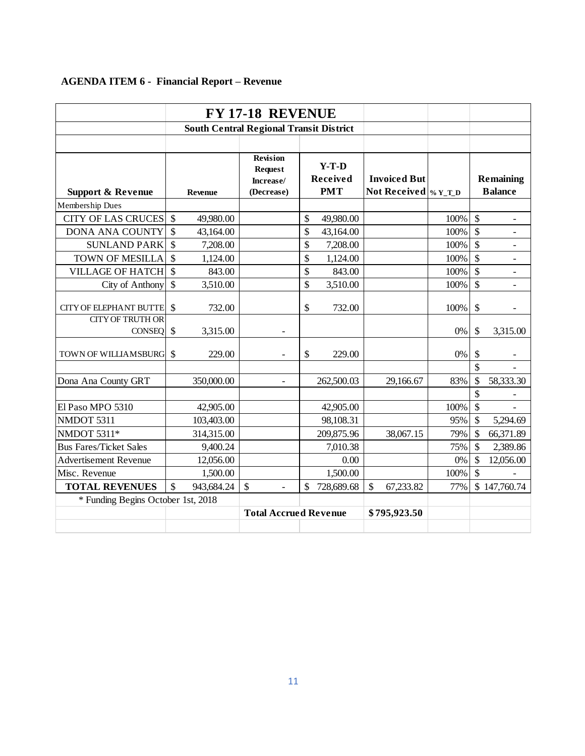# **AGENDA ITEM 6 - Financial Report – Revenue**

| <b>FY 17-18 REVENUE</b>                        |               |                |                                                              |    |                                   |               |           |       |                                                                               |                          |  |                                    |  |
|------------------------------------------------|---------------|----------------|--------------------------------------------------------------|----|-----------------------------------|---------------|-----------|-------|-------------------------------------------------------------------------------|--------------------------|--|------------------------------------|--|
| <b>South Central Regional Transit District</b> |               |                |                                                              |    |                                   |               |           |       |                                                                               |                          |  |                                    |  |
|                                                |               |                |                                                              |    |                                   |               |           |       |                                                                               |                          |  |                                    |  |
| <b>Support &amp; Revenue</b>                   |               | <b>Revenue</b> | <b>Revision</b><br><b>Request</b><br>Increase/<br>(Decrease) |    | $Y-T-D$<br>Received<br><b>PMT</b> |               |           |       | <b>Invoiced But</b><br>Not Received $\frac{1}{2}$ $\frac{1}{2}$ $\frac{1}{2}$ |                          |  | <b>Remaining</b><br><b>Balance</b> |  |
| Membership Dues                                |               |                |                                                              |    |                                   |               |           |       |                                                                               |                          |  |                                    |  |
| <b>CITY OF LAS CRUCES</b>                      | $\mathcal{S}$ | 49,980.00      |                                                              | \$ | 49,980.00                         |               |           | 100%  | $\boldsymbol{\mathsf{S}}$                                                     | $\overline{\phantom{a}}$ |  |                                    |  |
| <b>DONA ANA COUNTY</b>                         | $\mathcal{S}$ | 43,164.00      |                                                              | \$ | 43,164.00                         |               |           | 100%  | $\mathcal{S}$                                                                 | $\overline{\phantom{0}}$ |  |                                    |  |
| <b>SUNLAND PARK</b>                            | $\mathcal{S}$ | 7,208.00       |                                                              | \$ | 7,208.00                          |               |           | 100%  | \$                                                                            |                          |  |                                    |  |
| <b>TOWN OF MESILLA</b>                         | $\mathcal{S}$ | 1,124.00       |                                                              | \$ | 1,124.00                          |               |           | 100%  | $\mathcal{S}$                                                                 |                          |  |                                    |  |
| <b>VILLAGE OF HATCH</b>                        | $\mathcal{S}$ | 843.00         |                                                              | \$ | 843.00                            |               |           | 100%  | \$                                                                            | $\overline{\phantom{a}}$ |  |                                    |  |
| City of Anthony                                | $\mathcal{S}$ | 3,510.00       |                                                              | \$ | 3,510.00                          |               |           | 100%  | \$                                                                            |                          |  |                                    |  |
| <b>CITY OF ELEPHANT BUTTE</b>                  | $\mathcal{S}$ | 732.00         |                                                              | \$ | 732.00                            |               |           | 100%  | \$                                                                            |                          |  |                                    |  |
| <b>CITY OF TRUTH OR</b><br><b>CONSEQ</b>       | $\mathcal{S}$ | 3,315.00       |                                                              |    |                                   |               |           | 0%    | \$                                                                            | 3,315.00                 |  |                                    |  |
| TOWN OF WILLIAMSBURG                           | $\mathcal{S}$ | 229.00         |                                                              | \$ | 229.00                            |               |           | 0%    | \$                                                                            |                          |  |                                    |  |
| Dona Ana County GRT                            |               | 350,000.00     | $\blacksquare$                                               |    | 262,500.03                        |               | 29,166.67 | 83%   | $\mathsf{\$}$<br>\$                                                           | 58,333.30                |  |                                    |  |
|                                                |               |                |                                                              |    |                                   |               |           |       | \$                                                                            |                          |  |                                    |  |
| El Paso MPO 5310                               |               | 42,905.00      |                                                              |    | 42,905.00                         |               |           | 100%  | $\mathcal{S}$                                                                 |                          |  |                                    |  |
| NMDOT 5311                                     |               | 103,403.00     |                                                              |    | 98,108.31                         |               |           | 95%   | \$                                                                            | 5,294.69                 |  |                                    |  |
| NMDOT 5311*                                    |               | 314,315.00     |                                                              |    | 209,875.96                        |               | 38,067.15 | 79%   | \$                                                                            | 66,371.89                |  |                                    |  |
| <b>Bus Fares/Ticket Sales</b>                  |               | 9,400.24       |                                                              |    | 7,010.38                          |               |           | 75%   | \$                                                                            | 2,389.86                 |  |                                    |  |
| <b>Advertisement Revenue</b>                   |               | 12,056.00      |                                                              |    | 0.00                              |               |           | $0\%$ | \$                                                                            | 12,056.00                |  |                                    |  |
| Misc. Revenue                                  |               | 1,500.00       |                                                              |    | 1,500.00                          |               |           | 100%  | \$                                                                            |                          |  |                                    |  |
| <b>TOTAL REVENUES</b>                          | $\mathcal{S}$ | 943,684.24     | \$                                                           | \$ | 728,689.68                        | $\mathcal{S}$ | 67,233.82 | 77%   |                                                                               | \$147,760.74             |  |                                    |  |
| * Funding Begins October 1st, 2018             |               |                |                                                              |    |                                   |               |           |       |                                                                               |                          |  |                                    |  |
|                                                |               |                | <b>Total Accrued Revenue</b>                                 |    |                                   | \$795,923.50  |           |       |                                                                               |                          |  |                                    |  |
|                                                |               |                |                                                              |    |                                   |               |           |       |                                                                               |                          |  |                                    |  |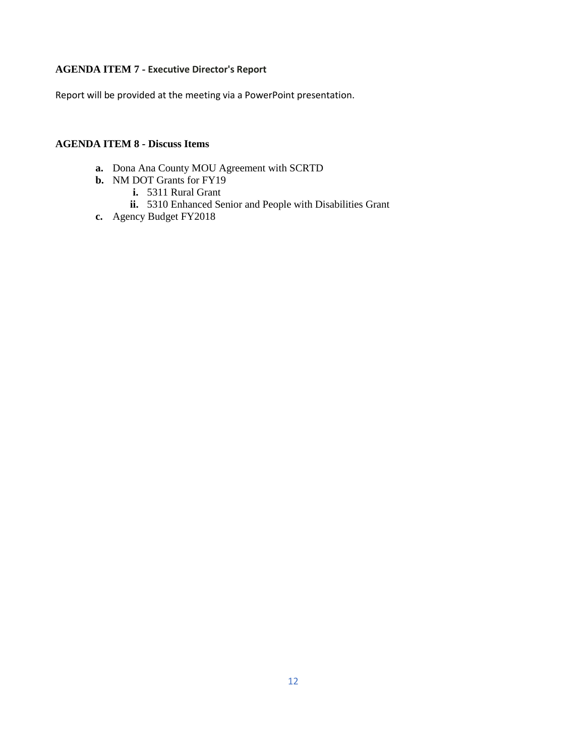# **AGENDA ITEM 7 - Executive Director's Report**

Report will be provided at the meeting via a PowerPoint presentation.

# **AGENDA ITEM 8 - Discuss Items**

- **a.** Dona Ana County MOU Agreement with SCRTD
- **b.** NM DOT Grants for FY19
	- **i.** 5311 Rural Grant
	- **ii.** 5310 Enhanced Senior and People with Disabilities Grant
- **c.** Agency Budget FY2018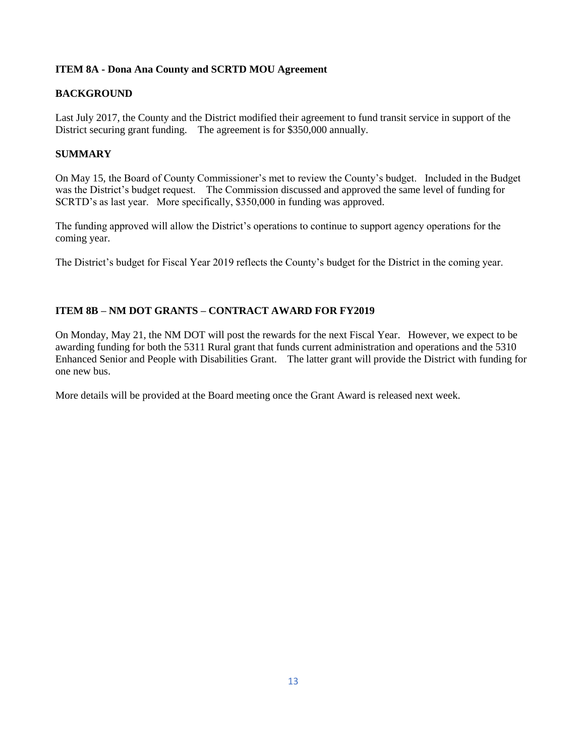## **ITEM 8A - Dona Ana County and SCRTD MOU Agreement**

## **BACKGROUND**

Last July 2017, the County and the District modified their agreement to fund transit service in support of the District securing grant funding. The agreement is for \$350,000 annually.

# **SUMMARY**

On May 15, the Board of County Commissioner's met to review the County's budget. Included in the Budget was the District's budget request. The Commission discussed and approved the same level of funding for SCRTD's as last year. More specifically, \$350,000 in funding was approved.

The funding approved will allow the District's operations to continue to support agency operations for the coming year.

The District's budget for Fiscal Year 2019 reflects the County's budget for the District in the coming year.

## **ITEM 8B – NM DOT GRANTS – CONTRACT AWARD FOR FY2019**

On Monday, May 21, the NM DOT will post the rewards for the next Fiscal Year. However, we expect to be awarding funding for both the 5311 Rural grant that funds current administration and operations and the 5310 Enhanced Senior and People with Disabilities Grant. The latter grant will provide the District with funding for one new bus.

More details will be provided at the Board meeting once the Grant Award is released next week.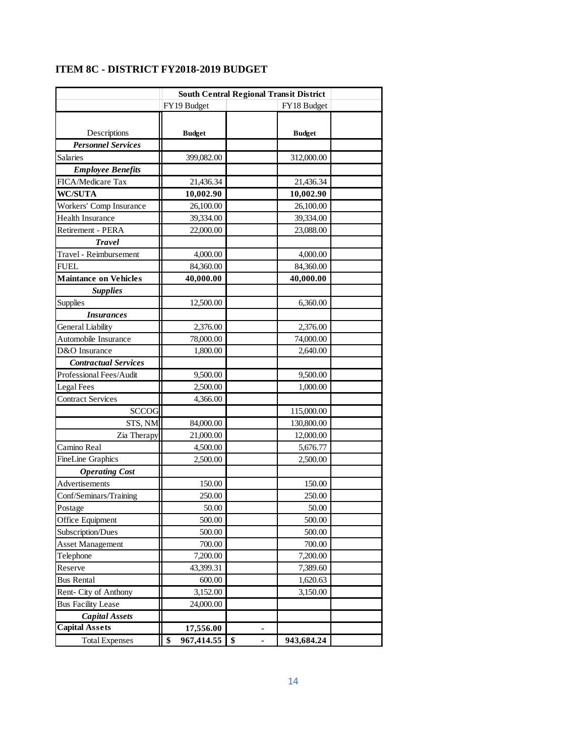| <b>South Central Regional Transit District</b> |                                                                                                                                                                                                                                                                                                                                                                                                                                                                              |                                                                                                                                                                                                                                                                                                                                                                                                             |  |  |  |
|------------------------------------------------|------------------------------------------------------------------------------------------------------------------------------------------------------------------------------------------------------------------------------------------------------------------------------------------------------------------------------------------------------------------------------------------------------------------------------------------------------------------------------|-------------------------------------------------------------------------------------------------------------------------------------------------------------------------------------------------------------------------------------------------------------------------------------------------------------------------------------------------------------------------------------------------------------|--|--|--|
| FY19 Budget                                    | FY18 Budget                                                                                                                                                                                                                                                                                                                                                                                                                                                                  |                                                                                                                                                                                                                                                                                                                                                                                                             |  |  |  |
|                                                |                                                                                                                                                                                                                                                                                                                                                                                                                                                                              |                                                                                                                                                                                                                                                                                                                                                                                                             |  |  |  |
|                                                |                                                                                                                                                                                                                                                                                                                                                                                                                                                                              |                                                                                                                                                                                                                                                                                                                                                                                                             |  |  |  |
|                                                |                                                                                                                                                                                                                                                                                                                                                                                                                                                                              |                                                                                                                                                                                                                                                                                                                                                                                                             |  |  |  |
|                                                |                                                                                                                                                                                                                                                                                                                                                                                                                                                                              |                                                                                                                                                                                                                                                                                                                                                                                                             |  |  |  |
|                                                |                                                                                                                                                                                                                                                                                                                                                                                                                                                                              |                                                                                                                                                                                                                                                                                                                                                                                                             |  |  |  |
|                                                |                                                                                                                                                                                                                                                                                                                                                                                                                                                                              |                                                                                                                                                                                                                                                                                                                                                                                                             |  |  |  |
|                                                |                                                                                                                                                                                                                                                                                                                                                                                                                                                                              |                                                                                                                                                                                                                                                                                                                                                                                                             |  |  |  |
|                                                |                                                                                                                                                                                                                                                                                                                                                                                                                                                                              |                                                                                                                                                                                                                                                                                                                                                                                                             |  |  |  |
|                                                |                                                                                                                                                                                                                                                                                                                                                                                                                                                                              |                                                                                                                                                                                                                                                                                                                                                                                                             |  |  |  |
|                                                |                                                                                                                                                                                                                                                                                                                                                                                                                                                                              |                                                                                                                                                                                                                                                                                                                                                                                                             |  |  |  |
|                                                |                                                                                                                                                                                                                                                                                                                                                                                                                                                                              |                                                                                                                                                                                                                                                                                                                                                                                                             |  |  |  |
|                                                |                                                                                                                                                                                                                                                                                                                                                                                                                                                                              |                                                                                                                                                                                                                                                                                                                                                                                                             |  |  |  |
|                                                |                                                                                                                                                                                                                                                                                                                                                                                                                                                                              |                                                                                                                                                                                                                                                                                                                                                                                                             |  |  |  |
|                                                |                                                                                                                                                                                                                                                                                                                                                                                                                                                                              |                                                                                                                                                                                                                                                                                                                                                                                                             |  |  |  |
|                                                |                                                                                                                                                                                                                                                                                                                                                                                                                                                                              |                                                                                                                                                                                                                                                                                                                                                                                                             |  |  |  |
|                                                |                                                                                                                                                                                                                                                                                                                                                                                                                                                                              |                                                                                                                                                                                                                                                                                                                                                                                                             |  |  |  |
|                                                |                                                                                                                                                                                                                                                                                                                                                                                                                                                                              |                                                                                                                                                                                                                                                                                                                                                                                                             |  |  |  |
|                                                |                                                                                                                                                                                                                                                                                                                                                                                                                                                                              |                                                                                                                                                                                                                                                                                                                                                                                                             |  |  |  |
|                                                |                                                                                                                                                                                                                                                                                                                                                                                                                                                                              |                                                                                                                                                                                                                                                                                                                                                                                                             |  |  |  |
|                                                |                                                                                                                                                                                                                                                                                                                                                                                                                                                                              |                                                                                                                                                                                                                                                                                                                                                                                                             |  |  |  |
|                                                |                                                                                                                                                                                                                                                                                                                                                                                                                                                                              |                                                                                                                                                                                                                                                                                                                                                                                                             |  |  |  |
|                                                |                                                                                                                                                                                                                                                                                                                                                                                                                                                                              |                                                                                                                                                                                                                                                                                                                                                                                                             |  |  |  |
|                                                |                                                                                                                                                                                                                                                                                                                                                                                                                                                                              |                                                                                                                                                                                                                                                                                                                                                                                                             |  |  |  |
|                                                |                                                                                                                                                                                                                                                                                                                                                                                                                                                                              |                                                                                                                                                                                                                                                                                                                                                                                                             |  |  |  |
|                                                |                                                                                                                                                                                                                                                                                                                                                                                                                                                                              |                                                                                                                                                                                                                                                                                                                                                                                                             |  |  |  |
|                                                |                                                                                                                                                                                                                                                                                                                                                                                                                                                                              |                                                                                                                                                                                                                                                                                                                                                                                                             |  |  |  |
|                                                |                                                                                                                                                                                                                                                                                                                                                                                                                                                                              |                                                                                                                                                                                                                                                                                                                                                                                                             |  |  |  |
|                                                |                                                                                                                                                                                                                                                                                                                                                                                                                                                                              |                                                                                                                                                                                                                                                                                                                                                                                                             |  |  |  |
|                                                |                                                                                                                                                                                                                                                                                                                                                                                                                                                                              |                                                                                                                                                                                                                                                                                                                                                                                                             |  |  |  |
|                                                |                                                                                                                                                                                                                                                                                                                                                                                                                                                                              |                                                                                                                                                                                                                                                                                                                                                                                                             |  |  |  |
|                                                |                                                                                                                                                                                                                                                                                                                                                                                                                                                                              |                                                                                                                                                                                                                                                                                                                                                                                                             |  |  |  |
|                                                |                                                                                                                                                                                                                                                                                                                                                                                                                                                                              |                                                                                                                                                                                                                                                                                                                                                                                                             |  |  |  |
|                                                |                                                                                                                                                                                                                                                                                                                                                                                                                                                                              |                                                                                                                                                                                                                                                                                                                                                                                                             |  |  |  |
|                                                |                                                                                                                                                                                                                                                                                                                                                                                                                                                                              |                                                                                                                                                                                                                                                                                                                                                                                                             |  |  |  |
|                                                |                                                                                                                                                                                                                                                                                                                                                                                                                                                                              |                                                                                                                                                                                                                                                                                                                                                                                                             |  |  |  |
|                                                |                                                                                                                                                                                                                                                                                                                                                                                                                                                                              |                                                                                                                                                                                                                                                                                                                                                                                                             |  |  |  |
|                                                |                                                                                                                                                                                                                                                                                                                                                                                                                                                                              |                                                                                                                                                                                                                                                                                                                                                                                                             |  |  |  |
|                                                |                                                                                                                                                                                                                                                                                                                                                                                                                                                                              |                                                                                                                                                                                                                                                                                                                                                                                                             |  |  |  |
|                                                |                                                                                                                                                                                                                                                                                                                                                                                                                                                                              |                                                                                                                                                                                                                                                                                                                                                                                                             |  |  |  |
|                                                |                                                                                                                                                                                                                                                                                                                                                                                                                                                                              |                                                                                                                                                                                                                                                                                                                                                                                                             |  |  |  |
|                                                |                                                                                                                                                                                                                                                                                                                                                                                                                                                                              |                                                                                                                                                                                                                                                                                                                                                                                                             |  |  |  |
|                                                |                                                                                                                                                                                                                                                                                                                                                                                                                                                                              |                                                                                                                                                                                                                                                                                                                                                                                                             |  |  |  |
|                                                |                                                                                                                                                                                                                                                                                                                                                                                                                                                                              |                                                                                                                                                                                                                                                                                                                                                                                                             |  |  |  |
|                                                |                                                                                                                                                                                                                                                                                                                                                                                                                                                                              |                                                                                                                                                                                                                                                                                                                                                                                                             |  |  |  |
|                                                | <b>Budget</b><br>399,082.00<br>21,436.34<br>10,002.90<br>26,100.00<br>39,334.00<br>22,000.00<br>4,000.00<br>84,360.00<br>40,000.00<br>12,500.00<br>2,376.00<br>78,000.00<br>1,800.00<br>9,500.00<br>2,500.00<br>4,366.00<br><b>SCCOG</b><br>STS, NM<br>84,000.00<br>Zia Therapy<br>21,000.00<br>4,500.00<br>2,500.00<br>150.00<br>250.00<br>50.00<br>500.00<br>500.00<br>700.00<br>7,200.00<br>43,399.31<br>600.00<br>3,152.00<br>24,000.00<br>17,556.00<br>\$<br>967,414.55 | <b>Budget</b><br>312,000.00<br>21,436.34<br>10,002.90<br>26,100.00<br>39,334.00<br>23,088.00<br>4,000.00<br>84,360.00<br>40,000.00<br>6,360.00<br>2,376.00<br>74,000.00<br>2,640.00<br>9,500.00<br>1,000.00<br>115,000.00<br>130,800.00<br>12,000.00<br>5,676.77<br>2,500.00<br>150.00<br>250.00<br>50.00<br>500.00<br>500.00<br>700.00<br>7,200.00<br>7,389.60<br>1,620.63<br>3,150.00<br>\$<br>943,684.24 |  |  |  |

# **ITEM 8C - DISTRICT FY2018-2019 BUDGET**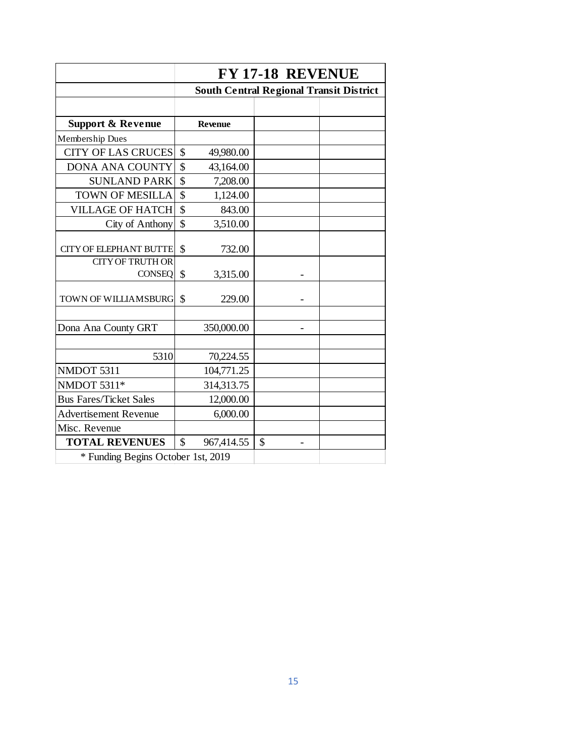|                                    | FY 17-18 REVENUE        |                |                                                |  |  |  |  |  |
|------------------------------------|-------------------------|----------------|------------------------------------------------|--|--|--|--|--|
|                                    |                         |                | <b>South Central Regional Transit District</b> |  |  |  |  |  |
|                                    |                         |                |                                                |  |  |  |  |  |
| <b>Support &amp; Revenue</b>       |                         | <b>Revenue</b> |                                                |  |  |  |  |  |
| Membership Dues                    |                         |                |                                                |  |  |  |  |  |
| <b>CITY OF LAS CRUCES</b>          | \$                      | 49,980.00      |                                                |  |  |  |  |  |
| <b>DONA ANA COUNTY</b>             | \$                      | 43,164.00      |                                                |  |  |  |  |  |
| <b>SUNLAND PARK</b>                | \$                      | 7,208.00       |                                                |  |  |  |  |  |
| <b>TOWN OF MESILLA</b>             | $\overline{\mathbb{S}}$ | 1,124.00       |                                                |  |  |  |  |  |
| <b>VILLAGE OF HATCH</b>            | \$                      | 843.00         |                                                |  |  |  |  |  |
| City of Anthony                    | \$                      | 3,510.00       |                                                |  |  |  |  |  |
| <b>CITY OF ELEPHANT BUTTE</b>      | $\mathcal{S}$           | 732.00         |                                                |  |  |  |  |  |
| <b>CITY OF TRUTH OR</b>            |                         |                |                                                |  |  |  |  |  |
| <b>CONSEQ</b>                      | \$                      | 3,315.00       |                                                |  |  |  |  |  |
| <b>TOWN OF WILLIAMSBURG</b>        | \$                      | 229.00         |                                                |  |  |  |  |  |
|                                    |                         |                |                                                |  |  |  |  |  |
| Dona Ana County GRT                |                         | 350,000.00     |                                                |  |  |  |  |  |
|                                    |                         |                |                                                |  |  |  |  |  |
| 5310                               |                         | 70,224.55      |                                                |  |  |  |  |  |
| NMDOT 5311                         |                         | 104,771.25     |                                                |  |  |  |  |  |
| NMDOT 5311*                        |                         | 314,313.75     |                                                |  |  |  |  |  |
| <b>Bus Fares/Ticket Sales</b>      |                         | 12,000.00      |                                                |  |  |  |  |  |
| <b>Advertisement Revenue</b>       |                         | 6,000.00       |                                                |  |  |  |  |  |
| Misc. Revenue                      |                         |                |                                                |  |  |  |  |  |
| <b>TOTAL REVENUES</b>              | $\mathcal{S}$           | 967,414.55     | \$                                             |  |  |  |  |  |
| * Funding Begins October 1st, 2019 |                         |                |                                                |  |  |  |  |  |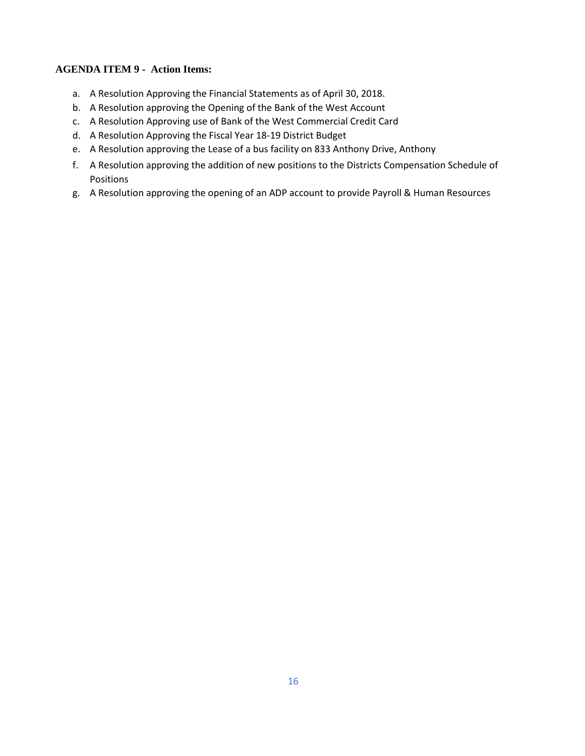# **AGENDA ITEM 9 - Action Items:**

- a. A Resolution Approving the Financial Statements as of April 30, 2018.
- b. A Resolution approving the Opening of the Bank of the West Account
- c. A Resolution Approving use of Bank of the West Commercial Credit Card
- d. A Resolution Approving the Fiscal Year 18-19 District Budget
- e. A Resolution approving the Lease of a bus facility on 833 Anthony Drive, Anthony
- f. A Resolution approving the addition of new positions to the Districts Compensation Schedule of Positions
- g. A Resolution approving the opening of an ADP account to provide Payroll & Human Resources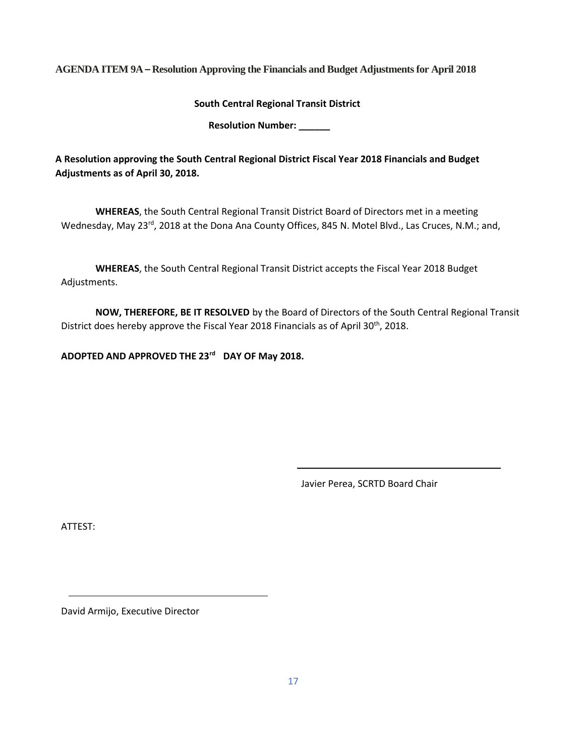**AGENDA ITEM 9A – Resolution Approving the Financials and Budget Adjustments for April 2018**

**South Central Regional Transit District**

**Resolution Number: \_\_\_\_\_\_**

**A Resolution approving the South Central Regional District Fiscal Year 2018 Financials and Budget Adjustments as of April 30, 2018.** 

**WHEREAS**, the South Central Regional Transit District Board of Directors met in a meeting Wednesday, May 23rd, 2018 at the Dona Ana County Offices, 845 N. Motel Blvd., Las Cruces, N.M.; and,

**WHEREAS**, the South Central Regional Transit District accepts the Fiscal Year 2018 Budget Adjustments.

**NOW, THEREFORE, BE IT RESOLVED** by the Board of Directors of the South Central Regional Transit District does hereby approve the Fiscal Year 2018 Financials as of April 30<sup>th</sup>, 2018.

**ADOPTED AND APPROVED THE 23rd DAY OF May 2018.**

Javier Perea, SCRTD Board Chair

ATTEST: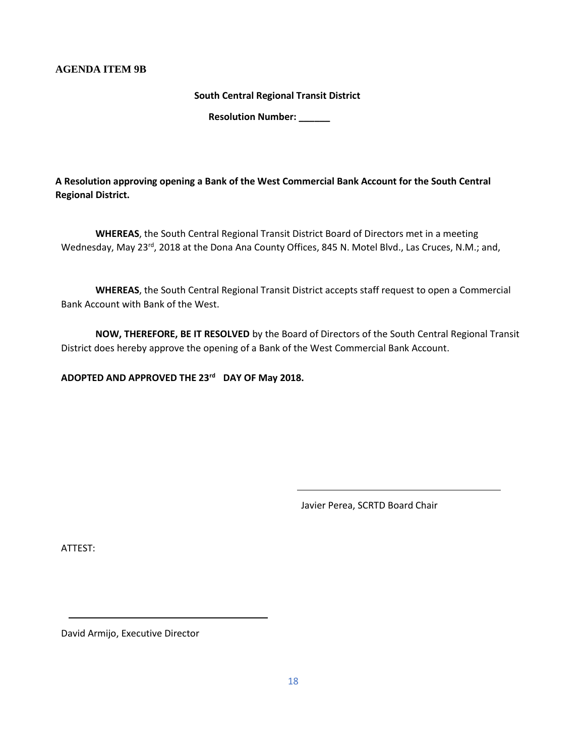### **AGENDA ITEM 9B**

**South Central Regional Transit District** 

**Resolution Number: \_\_\_\_\_\_**

**A Resolution approving opening a Bank of the West Commercial Bank Account for the South Central Regional District.**

**WHEREAS**, the South Central Regional Transit District Board of Directors met in a meeting Wednesday, May 23<sup>rd</sup>, 2018 at the Dona Ana County Offices, 845 N. Motel Blvd., Las Cruces, N.M.; and,

**WHEREAS**, the South Central Regional Transit District accepts staff request to open a Commercial Bank Account with Bank of the West.

**NOW, THEREFORE, BE IT RESOLVED** by the Board of Directors of the South Central Regional Transit District does hereby approve the opening of a Bank of the West Commercial Bank Account.

**ADOPTED AND APPROVED THE 23rd DAY OF May 2018.**

Javier Perea, SCRTD Board Chair

ATTEST: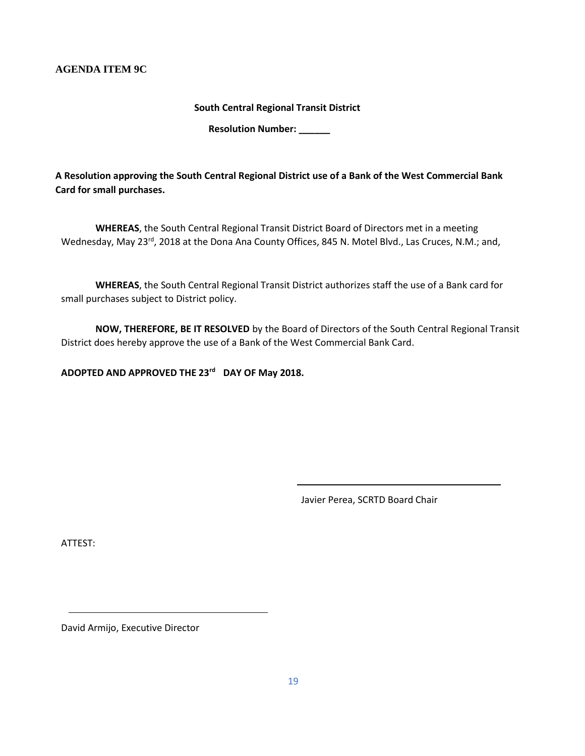### **AGENDA ITEM 9C**

**South Central Regional Transit District** 

**Resolution Number: \_\_\_\_\_\_**

**A Resolution approving the South Central Regional District use of a Bank of the West Commercial Bank Card for small purchases.** 

**WHEREAS**, the South Central Regional Transit District Board of Directors met in a meeting Wednesday, May 23rd, 2018 at the Dona Ana County Offices, 845 N. Motel Blvd., Las Cruces, N.M.; and,

**WHEREAS**, the South Central Regional Transit District authorizes staff the use of a Bank card for small purchases subject to District policy.

**NOW, THEREFORE, BE IT RESOLVED** by the Board of Directors of the South Central Regional Transit District does hereby approve the use of a Bank of the West Commercial Bank Card.

**ADOPTED AND APPROVED THE 23rd DAY OF May 2018.**

Javier Perea, SCRTD Board Chair

ATTEST: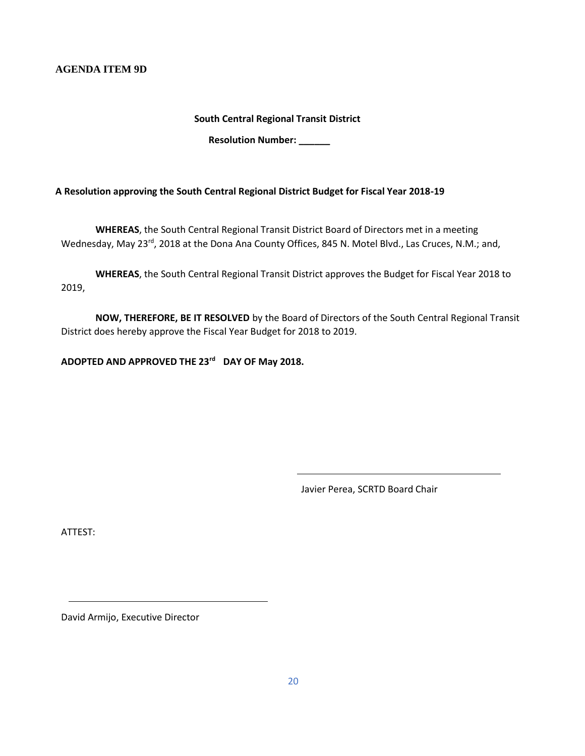**AGENDA ITEM 9D**

**South Central Regional Transit District** 

**Resolution Number: \_\_\_\_\_\_**

**A Resolution approving the South Central Regional District Budget for Fiscal Year 2018-19**

**WHEREAS**, the South Central Regional Transit District Board of Directors met in a meeting Wednesday, May 23<sup>rd</sup>, 2018 at the Dona Ana County Offices, 845 N. Motel Blvd., Las Cruces, N.M.; and,

**WHEREAS**, the South Central Regional Transit District approves the Budget for Fiscal Year 2018 to 2019,

**NOW, THEREFORE, BE IT RESOLVED** by the Board of Directors of the South Central Regional Transit District does hereby approve the Fiscal Year Budget for 2018 to 2019.

**ADOPTED AND APPROVED THE 23rd DAY OF May 2018.**

Javier Perea, SCRTD Board Chair

ATTEST: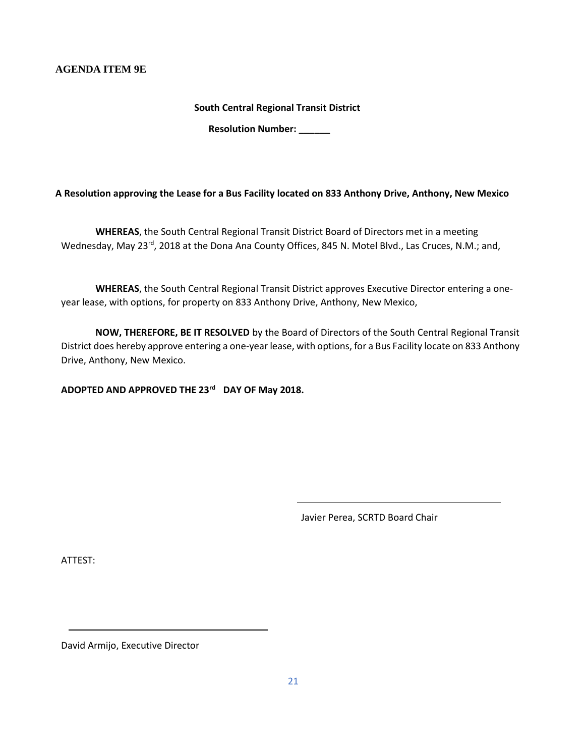### **AGENDA ITEM 9E**

**South Central Regional Transit District** 

**Resolution Number: \_\_\_\_\_\_**

**A Resolution approving the Lease for a Bus Facility located on 833 Anthony Drive, Anthony, New Mexico**

**WHEREAS**, the South Central Regional Transit District Board of Directors met in a meeting Wednesday, May 23<sup>rd</sup>, 2018 at the Dona Ana County Offices, 845 N. Motel Blvd., Las Cruces, N.M.; and,

**WHEREAS**, the South Central Regional Transit District approves Executive Director entering a oneyear lease, with options, for property on 833 Anthony Drive, Anthony, New Mexico,

**NOW, THEREFORE, BE IT RESOLVED** by the Board of Directors of the South Central Regional Transit District does hereby approve entering a one-year lease, with options, for a Bus Facility locate on 833 Anthony Drive, Anthony, New Mexico.

**ADOPTED AND APPROVED THE 23rd DAY OF May 2018.**

Javier Perea, SCRTD Board Chair

ATTEST: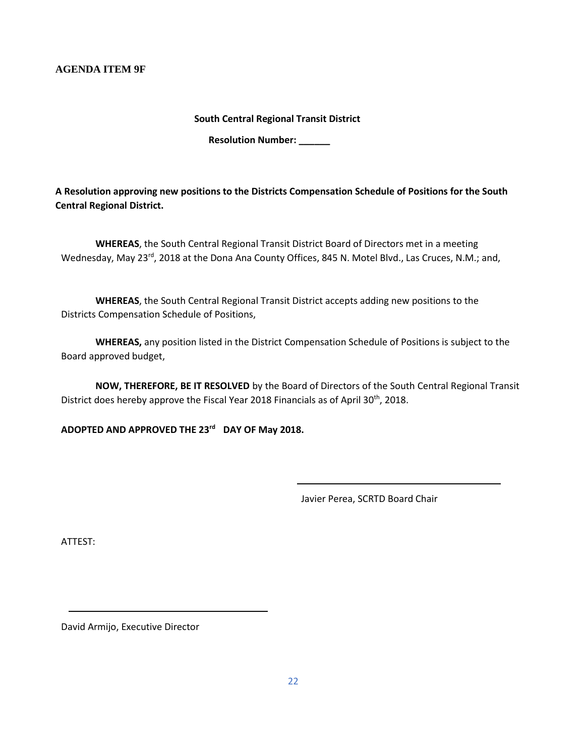**AGENDA ITEM 9F**

**South Central Regional Transit District** 

**Resolution Number: \_\_\_\_\_\_**

**A Resolution approving new positions to the Districts Compensation Schedule of Positions for the South Central Regional District.** 

**WHEREAS**, the South Central Regional Transit District Board of Directors met in a meeting Wednesday, May 23rd, 2018 at the Dona Ana County Offices, 845 N. Motel Blvd., Las Cruces, N.M.; and,

**WHEREAS**, the South Central Regional Transit District accepts adding new positions to the Districts Compensation Schedule of Positions,

**WHEREAS,** any position listed in the District Compensation Schedule of Positions is subject to the Board approved budget,

**NOW, THEREFORE, BE IT RESOLVED** by the Board of Directors of the South Central Regional Transit District does hereby approve the Fiscal Year 2018 Financials as of April 30<sup>th</sup>, 2018.

**ADOPTED AND APPROVED THE 23rd DAY OF May 2018.**

Javier Perea, SCRTD Board Chair

ATTEST: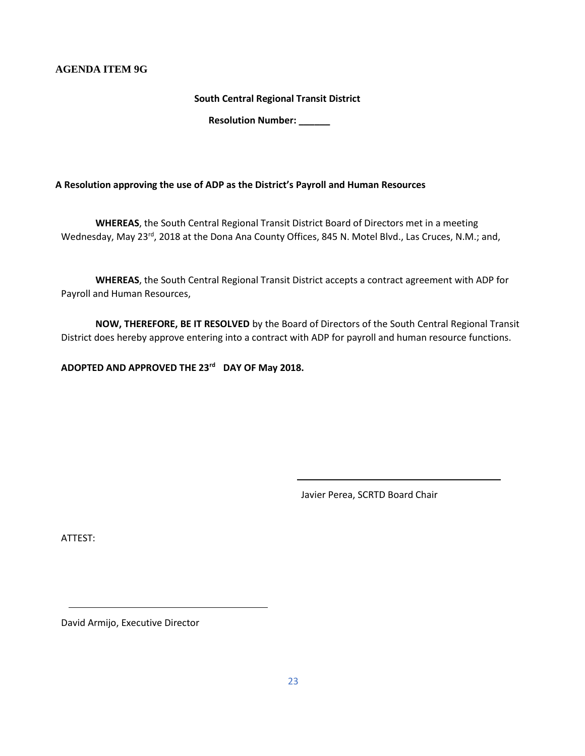### **AGENDA ITEM 9G**

**South Central Regional Transit District** 

**Resolution Number: \_\_\_\_\_\_**

**A Resolution approving the use of ADP as the District's Payroll and Human Resources** 

**WHEREAS**, the South Central Regional Transit District Board of Directors met in a meeting Wednesday, May 23rd, 2018 at the Dona Ana County Offices, 845 N. Motel Blvd., Las Cruces, N.M.; and,

**WHEREAS**, the South Central Regional Transit District accepts a contract agreement with ADP for Payroll and Human Resources,

**NOW, THEREFORE, BE IT RESOLVED** by the Board of Directors of the South Central Regional Transit District does hereby approve entering into a contract with ADP for payroll and human resource functions.

**ADOPTED AND APPROVED THE 23rd DAY OF May 2018.**

Javier Perea, SCRTD Board Chair

ATTEST: